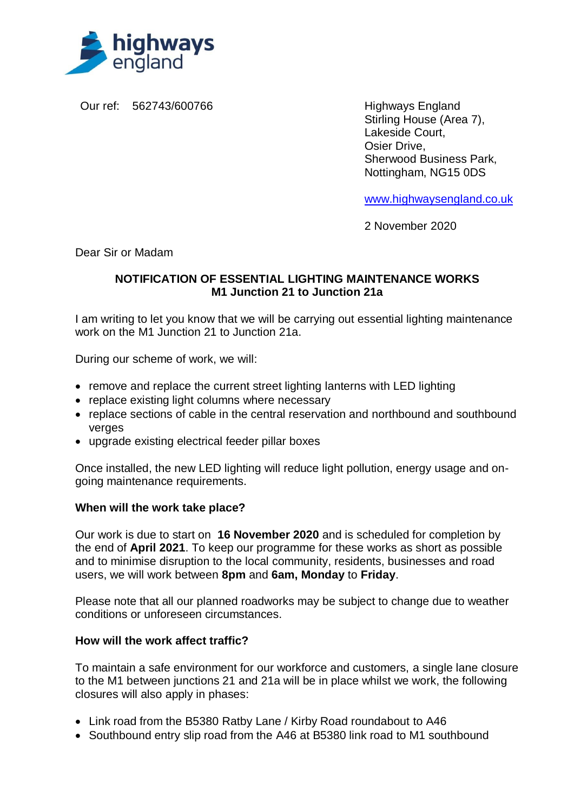

Our ref: 562743/600766 Highways England

Stirling House (Area 7), Lakeside Court, Osier Drive, Sherwood Business Park, Nottingham, NG15 0DS

[www.highwaysengland.co.uk](http://www.highwaysengland.co.uk/)

2 November 2020

Dear Sir or Madam

## **NOTIFICATION OF ESSENTIAL LIGHTING MAINTENANCE WORKS M1 Junction 21 to Junction 21a**

I am writing to let you know that we will be carrying out essential lighting maintenance work on the M1 Junction 21 to Junction 21a.

During our scheme of work, we will:

- remove and replace the current street lighting lanterns with LED lighting
- replace existing light columns where necessary
- replace sections of cable in the central reservation and northbound and southbound verges
- upgrade existing electrical feeder pillar boxes

Once installed, the new LED lighting will reduce light pollution, energy usage and ongoing maintenance requirements.

## **When will the work take place?**

Our work is due to start on **16 November 2020** and is scheduled for completion by the end of **April 2021**. To keep our programme for these works as short as possible and to minimise disruption to the local community, residents, businesses and road users, we will work between **8pm** and **6am, Monday** to **Friday**.

Please note that all our planned roadworks may be subject to change due to weather conditions or unforeseen circumstances.

## **How will the work affect traffic?**

To maintain a safe environment for our workforce and customers, a single lane closure to the M1 between junctions 21 and 21a will be in place whilst we work, the following closures will also apply in phases:

- Link road from the B5380 Ratby Lane / Kirby Road roundabout to A46
- Southbound entry slip road from the A46 at B5380 link road to M1 southbound